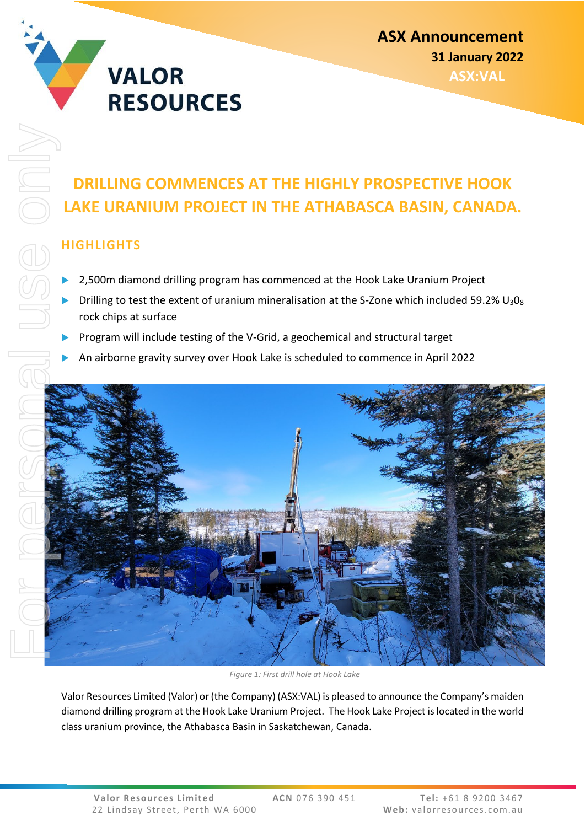

## **DRILLING COMMENCES AT THE HIGHLY PROSPECTIVE HOOK LAKE URANIUM PROJECT IN THE ATHABASCA BASIN, CANADA.**

## **HIGHLIGHTS**

- 2,500m diamond drilling program has commenced at the Hook Lake Uranium Project
- Drilling to test the extent of uranium mineralisation at the S-Zone which included 59.2%  $U_3O_8$ rock chips at surface
- Program will include testing of the V-Grid, a geochemical and structural target
- An airborne gravity survey over Hook Lake is scheduled to commence in April 2022



*Figure 1: First drill hole at Hook Lake*

Valor Resources Limited (Valor) or (the Company) (ASX:VAL) is pleased to announce the Company's maiden diamond drilling program at the Hook Lake Uranium Project. The Hook Lake Project is located in the world class uranium province, the Athabasca Basin in Saskatchewan, Canada.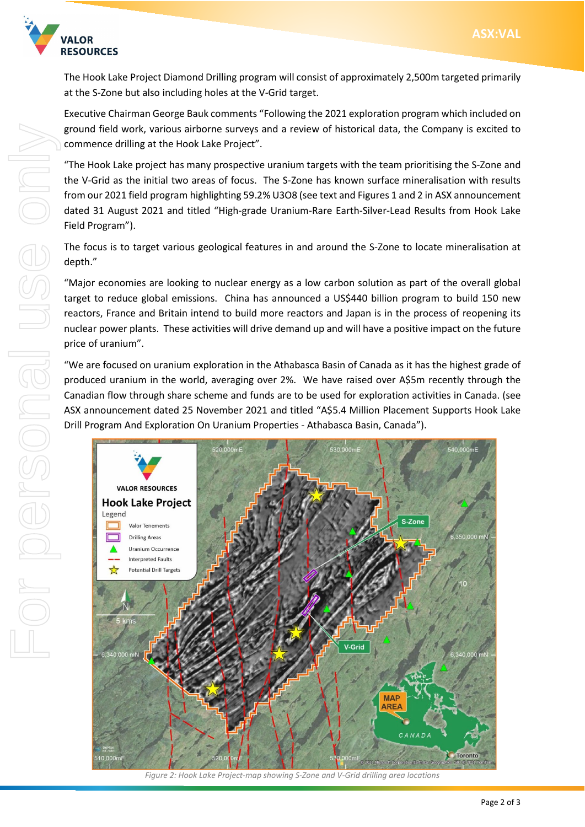

The Hook Lake Project Diamond Drilling program will consist of approximately 2,500m targeted primarily at the S-Zone but also including holes at the V-Grid target.

Executive Chairman George Bauk comments "Following the 2021 exploration program which included on ground field work, various airborne surveys and a review of historical data, the Company is excited to commence drilling at the Hook Lake Project".

"The Hook Lake project has many prospective uranium targets with the team prioritising the S-Zone and the V-Grid as the initial two areas of focus. The S-Zone has known surface mineralisation with results from our 2021 field program highlighting 59.2% U3O8 (see text and Figures 1 and 2 in ASX announcement dated 31 August 2021 and titled "High-grade Uranium-Rare Earth-Silver-Lead Results from Hook Lake Field Program").

The focus is to target various geological features in and around the S-Zone to locate mineralisation at depth."

"Major economies are looking to nuclear energy as a low carbon solution as part of the overall global target to reduce global emissions. China has announced a US\$440 billion program to build 150 new reactors, France and Britain intend to build more reactors and Japan is in the process of reopening its nuclear power plants. These activities will drive demand up and will have a positive impact on the future price of uranium".

"We are focused on uranium exploration in the Athabasca Basin of Canada as it has the highest grade of produced uranium in the world, averaging over 2%. We have raised over A\$5m recently through the Canadian flow through share scheme and funds are to be used for exploration activities in Canada. (see ASX announcement dated 25 November 2021 and titled "A\$5.4 Million Placement Supports Hook Lake Drill Program And Exploration On Uranium Properties - Athabasca Basin, Canada").



*Figure 2: Hook Lake Project-map showing S-Zone and V-Grid drilling area locations*